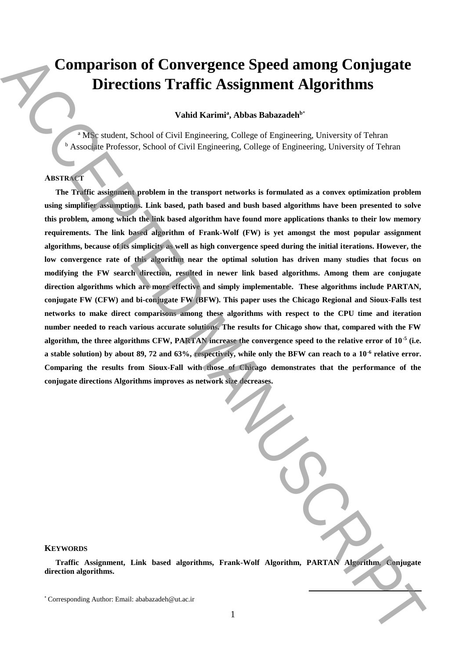# **Comparison of Convergence Speed among Conjugate Directions Traffic Assignment Algorithms**

**Vahid Karimi<sup>a</sup> , Abbas Babazadeh<sup>b</sup>**\*

<sup>a</sup> MSc student, School of Civil Engineering, College of Engineering, University of Tehran **b** Associate Professor, School of Civil Engineering, College of Engineering, University of Tehran

# **ABSTRACT**

**The Traffic assignment problem in the transport networks is formulated as a convex optimization problem using simplifier assumptions. Link based, path based and bush based algorithms have been presented to solve this problem, among which the link based algorithm have found more applications thanks to their low memory requirements. The link based algorithm of Frank-Wolf (FW) is yet amongst the most popular assignment algorithms, because of its simplicity as well as high convergence speed during the initial iterations. However, the low convergence rate of this algorithm near the optimal solution has driven many studies that focus on modifying the FW search direction, resulted in newer link based algorithms. Among them are conjugate direction algorithms which are more effective and simply implementable. These algorithms include PARTAN, conjugate FW (CFW) and bi-conjugate FW (BFW). This paper uses the Chicago Regional and Sioux-Falls test networks to make direct comparisons among these algorithms with respect to the CPU time and iteration number needed to reach various accurate solutions. The results for Chicago show that, compared with the FW algorithm, the three algorithms CFW, PARTAN increase the convergence speed to the relative error of 10-5 (i.e. a stable solution) by about 89, 72 and 63%, respectively, while only the BFW can reach to a 10-6 relative error. Comparing the results from Sioux-Fall with those of Chicago demonstrates that the performance of the conjugate directions Algorithms improves as network size decreases. Comparison of Convergence Speed among Conjugate**<br>
Directions Traffic Assignment Algorithms<br>
Yand Karim". Abas Bahazade<sup>h"</sup><br>
Author: Email: Abacade Toiseau (College College College Chemering, Usersity of Teben<br>
The relati

**KEYWORDS** 

**Traffic Assignment, Link based algorithms, Frank-Wolf Algorithm, PARTAN Algorithm, Conjugate direction algorithms.**

**.**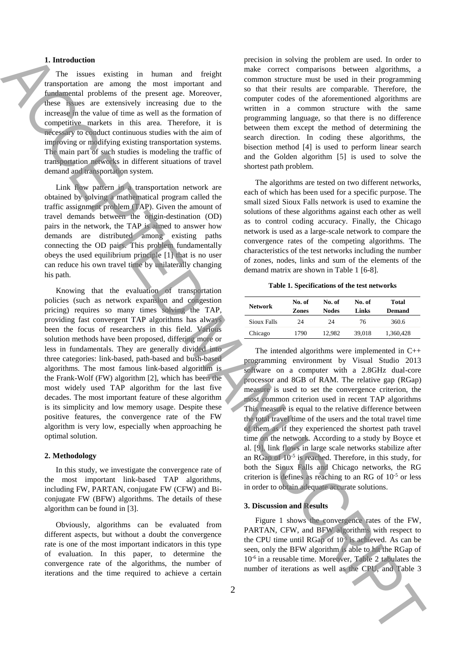## **1. Introduction**

The issues existing in human and freight transportation are among the most important and fundamental problems of the present age. Moreover, these issues are extensively increasing due to the increase in the value of time as well as the formation of competitive markets in this area. Therefore, it is necessary to conduct continuous studies with the aim of improving or modifying existing transportation systems. The main part of such studies is modeling the traffic of transportation networks in different situations of travel demand and transportation system.

Link flow pattern in a transportation network are obtained by solving a mathematical program called the traffic assignment problem (TAP). Given the amount of travel demands between the origin-destination (OD) pairs in the network, the TAP is aimed to answer how demands are distributed among existing paths connecting the OD pairs. This problem fundamentally obeys the used equilibrium principle [1] that is no user can reduce his own travel time by unilaterally changing his path.

Knowing that the evaluation of transportation policies (such as network expansion and congestion pricing) requires so many times solving the TAP, providing fast convergent TAP algorithms has always been the focus of researchers in this field. Various solution methods have been proposed, differing more or less in fundamentals. They are generally divided into three categories: link-based, path-based and bush-based algorithms. The most famous link-based algorithm is the Frank-Wolf (FW) algorithm [2], which has been the most widely used TAP algorithm for the last five decades. The most important feature of these algorithm is its simplicity and low memory usage. Despite these positive features, the convergence rate of the FW algorithm is very low, especially when approaching he optimal solution. **ITERCESS UNDER A CONSEIVER CONTINUOS IS A CONSEIVER CONSEIVER CONSEIVER CONSEIVER CONSEIVER CONSEIVER CONSEIVER CONSEIVER CONSEIVER CONSEIVER CONSEIVER CONSEIVER CONSEIVER CONSEIVER CONSEIVER CONSEIVER CONSEIVER CONSEIVE** 

#### **2. Methodology**

In this study, we investigate the convergence rate of the most important link-based TAP algorithms, including FW, PARTAN, conjugate FW (CFW) and Biconjugate FW (BFW) algorithms. The details of these algorithm can be found in [3].

Obviously, algorithms can be evaluated from different aspects, but without a doubt the convergence rate is one of the most important indicators in this type of evaluation. In this paper, to determine the convergence rate of the algorithms, the number of iterations and the time required to achieve a certain

precision in solving the problem are used. In order to make correct comparisons between algorithms, a common structure must be used in their programming so that their results are comparable. Therefore, the computer codes of the aforementioned algorithms are written in a common structure with the same programming language, so that there is no difference between them except the method of determining the search direction. In coding these algorithms, the bisection method [4] is used to perform linear search and the Golden algorithm [5] is used to solve the shortest path problem.

The algorithms are tested on two different networks, each of which has been used for a specific purpose. The small sized Sioux Falls network is used to examine the solutions of these algorithms against each other as well as to control coding accuracy. Finally, the Chicago network is used as a large-scale network to compare the convergence rates of the competing algorithms. The characteristics of the test networks including the number of zones, nodes, links and sum of the elements of the demand matrix are shown in Table 1 [6-8].

#### **Table 1. Specifications of the test networks**

| <b>Network</b> | No. of<br>Zones | No. of<br><b>Nodes</b> | No. of<br>Links | Total<br><b>Demand</b> |
|----------------|-----------------|------------------------|-----------------|------------------------|
| Sioux Falls    | 24              | 24                     | 76              | 360.6                  |
| Chicago        | 1790            | 12.982                 | 39.018          | 1,360,428              |

The intended algorithms were implemented in C++ programming environment by Visual Studio 2013 software on a computer with a 2.8GHz dual-core processor and 8GB of RAM. The relative gap (RGap) measure is used to set the convergence criterion, the most common criterion used in recent TAP algorithms This measure is equal to the relative difference between the total travel time of the users and the total travel time of them as if they experienced the shortest path travel time on the network. According to a study by Boyce et al. [9], link flows in large scale networks stabilize after an RGap of 10-5 is reached. Therefore, in this study, for both the Sioux Falls and Chicago networks, the RG criterion is defines as reaching to an RG of  $10^{-5}$  or less in order to obtain adequate accurate solutions.

# **3. Discussion and Results**

Figure 1 shows the convergence rates of the FW, PARTAN, CFW, and BFW algorithms with respect to the CPU time until RGap of  $10^{-5}$  is achieved. As can be seen, only the BFW algorithm is able to hit the RGap of 10-6 in a reusable time. Moreover, Table 2 tabulates the